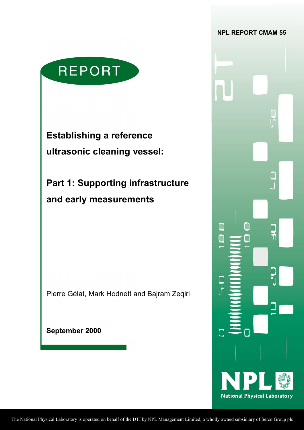

**Establishing a reference ultrasonic cleaning vessel:** 

**Part 1: Supporting infrastructure and early measurements** 

Pierre Gélat, Mark Hodnett and Bajram Zeqiri

**September 2000** 

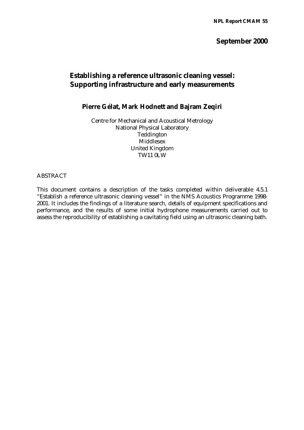# **September 2000**

# **Establishing a reference ultrasonic cleaning vessel: Supporting infrastructure and early measurements**

# **Pierre Gélat, Mark Hodnett and Bajram Zeqiri**

Centre for Mechanical and Acoustical Metrology National Physical Laboratory Teddington Middlesex United Kingdom TW11 0LW

#### ABSTRACT

This document contains a description of the tasks completed within deliverable 4.5.1 "Establish a reference ultrasonic cleaning vessel" in the NMS Acoustics Programme 1998- 2001. It includes the findings of a literature search, details of equipment specifications and performance, and the results of some initial hydrophone measurements carried out to assess the reproducibility of establishing a cavitating field using an ultrasonic cleaning bath.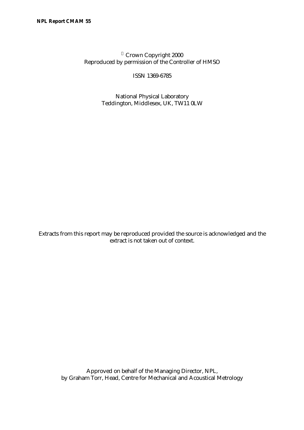© Crown Copyright 2000 Reproduced by permission of the Controller of HMSO

ISSN 1369-6785

National Physical Laboratory Teddington, Middlesex, UK, TW11 0LW

Extracts from this report may be reproduced provided the source is acknowledged and the extract is not taken out of context.

Approved on behalf of the Managing Director, NPL, by Graham Torr, Head, Centre for Mechanical and Acoustical Metrology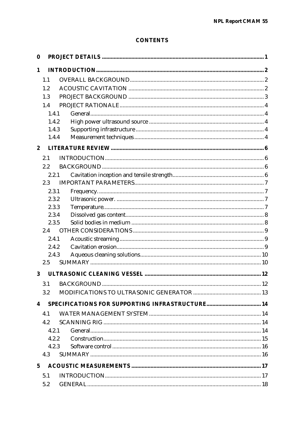# **CONTENTS**

| 0                |       |  |
|------------------|-------|--|
| 1                |       |  |
|                  | 1.1   |  |
|                  | 1.2   |  |
|                  | 1.3   |  |
|                  | 1.4   |  |
|                  | 1.4.1 |  |
|                  | 1.4.2 |  |
|                  | 1.4.3 |  |
|                  | 1.4.4 |  |
| $\boldsymbol{2}$ |       |  |
|                  | 2.1   |  |
|                  | 2.2   |  |
|                  | 2.2.1 |  |
|                  | 2.3   |  |
|                  | 2.3.1 |  |
|                  | 2.3.2 |  |
|                  | 2.3.3 |  |
|                  | 2.3.4 |  |
|                  | 2.3.5 |  |
|                  | 2.4   |  |
|                  | 2.4.1 |  |
|                  | 2.4.2 |  |
|                  | 2.4.3 |  |
|                  | 2.5   |  |
| 3                |       |  |
|                  |       |  |
|                  | 3.2   |  |
| 4                |       |  |
|                  | 4.1   |  |
|                  | 4.2   |  |
|                  | 4.2.1 |  |
|                  | 4.2.2 |  |
|                  | 4.2.3 |  |
|                  | 4.3   |  |
| $\mathbf{5}$     |       |  |
|                  | 5.1   |  |
|                  | 5.2   |  |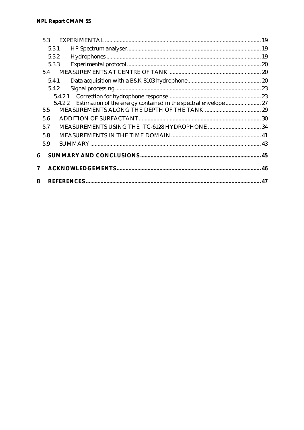# **NPL Report CMAM 55**

|   | 5.3            |                                                                 |  |
|---|----------------|-----------------------------------------------------------------|--|
|   | 5.3.1          |                                                                 |  |
|   | 5.3.2          |                                                                 |  |
|   | 5.3.3          |                                                                 |  |
|   | 5.4            |                                                                 |  |
|   | 5.4.1          |                                                                 |  |
|   | 5.4.2          |                                                                 |  |
|   |                | 5.4.2.1                                                         |  |
|   | 5.4.2.2<br>5.5 | Estimation of the energy contained in the spectral envelope  27 |  |
|   | 5.6            |                                                                 |  |
|   | 5.7            |                                                                 |  |
|   | 5.8            |                                                                 |  |
|   | 5.9            |                                                                 |  |
| 6 |                |                                                                 |  |
| 7 |                |                                                                 |  |
| 8 |                |                                                                 |  |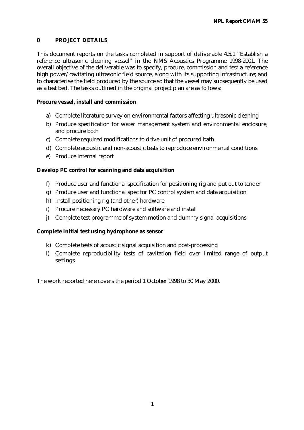## **0 PROJECT DETAILS**

This document reports on the tasks completed in support of deliverable 4.5.1 "Establish a reference ultrasonic cleaning vessel" in the NMS Acoustics Programme 1998-2001. The overall objective of the deliverable was to specify, procure, commission and test a reference high power/cavitating ultrasonic field source, along with its supporting infrastructure; and to characterise the field produced by the source so that the vessel may subsequently be used as a test bed. The tasks outlined in the original project plan are as follows:

### **Procure vessel, install and commission**

- a) Complete literature survey on environmental factors affecting ultrasonic cleaning
- b) Produce specification for water management system and environmental enclosure, and procure both
- c) Complete required modifications to drive unit of procured bath
- d) Complete acoustic and non-acoustic tests to reproduce environmental conditions
- e) Produce internal report

# **Develop PC control for scanning and data acquisition**

- f) Produce user and functional specification for positioning rig and put out to tender
- g) Produce user and functional spec for PC control system and data acquisition
- h) Install positioning rig (and other) hardware
- i) Procure necessary PC hardware and software and install
- j) Complete test programme of system motion and dummy signal acquisitions

## **Complete initial test using hydrophone as sensor**

- k) Complete tests of acoustic signal acquisition and post-processing
- l) Complete reproducibility tests of cavitation field over limited range of output settings

The work reported here covers the period 1 October 1998 to 30 May 2000.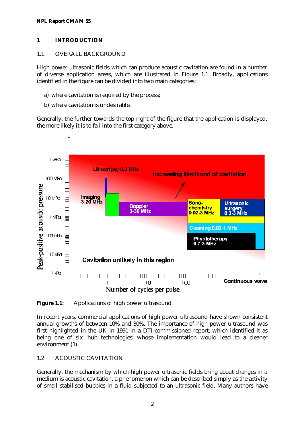#### **NPL Report CMAM 55**

### **1 INTRODUCTION**

### 1.1 OVERALL BACKGROUND

High power ultrasonic fields which can produce acoustic cavitation are found in a number of diverse application areas, which are illustrated in Figure 1.1. Broadly, applications identified in the figure can be divided into two main categories:

- a) where cavitation is required by the process;
- b) where cavitation is undesirable.

Generally, the further towards the top right of the figure that the application is displayed, the more likely it is to fall into the first category above.



**Figure 1.1:** Applications of high power ultrasound

In recent years, commercial applications of high power ultrasound have shown consistent annual growths of between 10% and 30%. The importance of high power ultrasound was first highlighted in the UK in 1991 in a DTI-commissioned report, which identified it as being one of six 'hub technologies' whose implementation would lead to a cleaner environment (1).

## 1.2 ACOUSTIC CAVITATION

Generally, the mechanism by which high power ultrasonic fields bring about changes in a medium is acoustic cavitation, a phenomenon which can be described simply as the activity of small stabilised bubbles in a fluid subjected to an ultrasonic field. Many authors have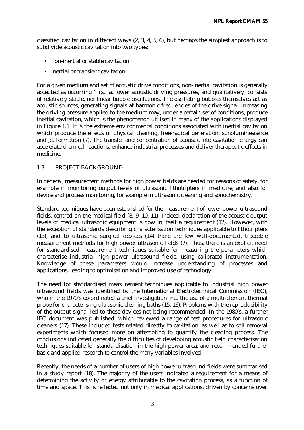classified cavitation in different ways (2, 3, 4, 5, 6), but perhaps the simplest approach is to subdivide acoustic cavitation into two types:

- non-inertial or stable cavitation;
- inertial or transient cavitation.

For a given medium and set of acoustic drive conditions, non-inertial cavitation is generally accepted as occurring 'first' at lower acoustic driving pressures, and qualitatively, consists of relatively stable, nonlinear bubble oscillations. The oscillating bubbles themselves act as acoustic sources, generating signals at harmonic frequencies of the drive signal. Increasing the driving pressure applied to the medium may, under a certain set of conditions, produce inertial cavitation, which is the phenomenon utilised in many of the applications displayed in Figure 1.1. It is the extreme environmental conditions associated with inertial cavitation which produce the effects of physical cleaning, free-radical generation, sonoluminescence and jet formation (7). The transfer and concentration of acoustic into cavitation energy can accelerate chemical reactions, enhance industrial processes and deliver therapeutic effects in medicine.

### 1.3 PROJECT BACKGROUND

In general, measurement methods for high power fields are needed for reasons of safety, for example in monitoring output levels of ultrasonic lithotripters in medicine, and also for device and process monitoring, for example in ultrasonic cleaning and sonochemistry.

Standard techniques have been established for the measurement of lower power ultrasound fields, centred on the medical field (8, 9, 10, 11). Indeed, declaration of the acoustic output levels of medical ultrasonic equipment is now in itself a requirement (12). However, with the exception of standards describing characterisation techniques applicable to lithotripters (13), and to ultrasonic surgical devices (14) there are few well-documented, traceable measurement methods for high power ultrasonic fields (7). Thus, there is an explicit need for standardised measurement techniques suitable for measuring the parameters which characterise industrial high power ultrasound fields, using calibrated instrumentation. Knowledge of these parameters would increase understanding of processes and applications, leading to optimisation and improved use of technology.

The need for standardised measurement techniques applicable to industrial high power ultrasound fields was identified by the International Electrotechnical Commission (IEC), who in the 1970's co-ordinated a brief investigation into the use of a multi-element thermal probe for characterising ultrasonic cleaning baths (15, 16). Problems with the reproducibility of the output signal led to these devices not being recommended. In the 1980's, a further IEC document was published, which reviewed a range of test procedures for ultrasonic cleaners (17). These included tests related directly to cavitation, as well as to soil removal experiments which focused more on attempting to quantify the cleaning process. The conclusions indicated generally the difficulties of developing acoustic field characterisation techniques suitable for standardisation in the high power area, and recommended further basic and applied research to control the many variables involved.

Recently, the needs of a number of users of high power ultrasound fields were summarised in a study report (18). The majority of the users indicated a requirement for a means of determining the activity or energy attributable to the cavitation process, as a function of time and space. This is reflected not only in medical applications, driven by concerns over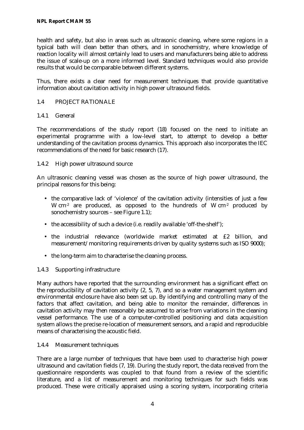health and safety, but also in areas such as ultrasonic cleaning, where some regions in a typical bath will clean better than others, and in sonochemistry, where knowledge of reaction locality will almost certainly lead to users and manufacturers being able to address the issue of scale-up on a more informed level. Standard techniques would also provide results that would be comparable between different systems.

Thus, there exists a clear need for measurement techniques that provide quantitative information about cavitation activity in high power ultrasound fields.

### 1.4 PROJECT RATIONALE

### 1.4.1 General

The recommendations of the study report (18) focused on the need to initiate an experimental programme with a low-level start, to attempt to develop a better understanding of the cavitation process dynamics. This approach also incorporates the IEC recommendations of the need for basic research (17).

### 1.4.2 High power ultrasound source

An ultrasonic cleaning vessel was chosen as the source of high power ultrasound, the principal reasons for this being:

- the comparative lack of 'violence' of the cavitation activity (intensities of just a few W cm<sup>-2</sup> are produced, as opposed to the hundreds of W cm<sup>-2</sup> produced by sonochemistry sources – see Figure 1.1);
- the accessibility of such a device (i.e. readily available 'off-the-shelf');
- the industrial relevance (worldwide market estimated at £2 billion, and measurement/monitoring requirements driven by quality systems such as ISO 9000);
- the long-term aim to characterise the cleaning process.

## 1.4.3 Supporting infrastructure

Many authors have reported that the surrounding environment has a significant effect on the reproducibility of cavitation activity (2, 5, 7), and so a water management system and environmental enclosure have also been set up. By identifying and controlling many of the factors that affect cavitation, and being able to monitor the remainder, differences in cavitation activity may then reasonably be assumed to arise from variations in the cleaning vessel performance. The use of a computer-controlled positioning and data acquisition system allows the precise re-location of measurement sensors, and a rapid and reproducible means of characterising the acoustic field.

### 1.4.4 Measurement techniques

There are a large number of techniques that have been used to characterise high power ultrasound and cavitation fields (7, 19). During the study report, the data received from the questionnaire respondents was coupled to that found from a review of the scientific literature, and a list of measurement and monitoring techniques for such fields was produced. These were critically appraised using a scoring system, incorporating criteria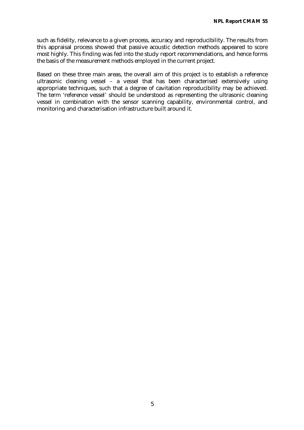such as fidelity, relevance to a given process, accuracy and reproducibility. The results from this appraisal process showed that passive acoustic detection methods appeared to score most highly. This finding was fed into the study report recommendations, and hence forms the basis of the measurement methods employed in the current project.

Based on these three main areas, the overall aim of this project is to establish a reference ultrasonic cleaning vessel – a vessel that has been characterised extensively using appropriate techniques, such that a degree of cavitation reproducibility may be achieved. The term 'reference vessel' should be understood as representing the ultrasonic cleaning vessel in combination with the sensor scanning capability, environmental control, and monitoring and characterisation infrastructure built around it.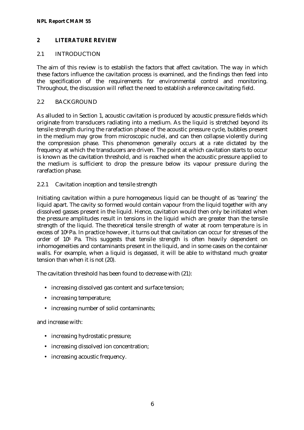#### **NPL Report CMAM 55**

### **2 LITERATURE REVIEW**

### 2.1 INTRODUCTION

The aim of this review is to establish the factors that affect cavitation. The way in which these factors influence the cavitation process is examined, and the findings then feed into the specification of the requirements for environmental control and monitoring. Throughout, the discussion will reflect the need to establish a reference cavitating field.

### 2.2 BACKGROUND

As alluded to in Section 1, acoustic cavitation is produced by acoustic pressure fields which originate from transducers radiating into a medium. As the liquid is stretched beyond its tensile strength during the rarefaction phase of the acoustic pressure cycle, bubbles present in the medium may grow from microscopic nuclei, and can then collapse violently during the compression phase. This phenomenon generally occurs at a rate dictated by the frequency at which the transducers are driven. The point at which cavitation starts to occur is known as the cavitation threshold, and is reached when the acoustic pressure applied to the medium is sufficient to drop the pressure below its vapour pressure during the rarefaction phase.

### 2.2.1 Cavitation inception and tensile strength

Initiating cavitation within a pure homogeneous liquid can be thought of as 'tearing' the liquid apart. The cavity so formed would contain vapour from the liquid together with any dissolved gasses present in the liquid. Hence, cavitation would then only be initiated when the pressure amplitudes result in tensions in the liquid which are greater than the tensile strength of the liquid. The theoretical tensile strength of water at room temperature is in excess of 108 Pa. In practice however, it turns out that cavitation can occur for stresses of the order of 105 Pa. This suggests that tensile strength is often heavily dependent on inhomogeneities and contaminants present in the liquid, and in some cases on the container walls. For example, when a liquid is degassed, it will be able to withstand much greater tension than when it is not (20).

The cavitation threshold has been found to decrease with (21):

- increasing dissolved gas content and surface tension;
- increasing temperature;
- increasing number of solid contaminants;

and increase with:

- increasing hydrostatic pressure;
- increasing dissolved ion concentration;
- increasing acoustic frequency.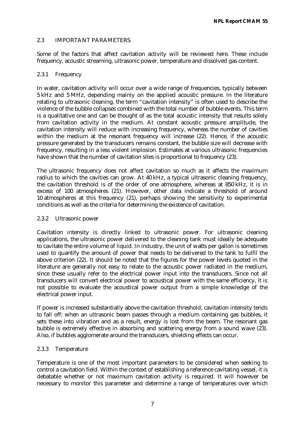### 2.3 IMPORTANT PARAMETERS

Some of the factors that affect cavitation activity will be reviewed here. These include frequency, acoustic streaming, ultrasonic power, temperature and dissolved gas content.

### 2.3.1 Frequency

In water, cavitation activity will occur over a wide range of frequencies, typically between 5 kHz and 5 MHz, depending mainly on the applied acoustic pressure. In the literature relating to ultrasonic cleaning, the term "cavitation intensity" is often used to describe the violence of the bubble collapses combined with the total number of bubble events. This term is a qualitative one and can be thought of as the total acoustic intensity that results solely from cavitation activity in the medium. At constant acoustic pressure amplitude, the cavitation intensity will reduce with increasing frequency, whereas the number of cavities within the medium at the resonant frequency will increase (22). Hence, if the acoustic pressure generated by the transducers remains constant, the bubble size will decrease with frequency, resulting in a less violent implosion. Estimates at various ultrasonic frequencies have shown that the number of cavitation sites is proportional to frequency (23).

The ultrasonic frequency does not affect cavitation so much as it affects the maximum radius to which the cavities can grow. At 40 kHz, a typical ultrasonic cleaning frequency, the cavitation threshold is of the order of one atmosphere, whereas at 850 kHz, it is in excess of 100 atmospheres (21). However, other data indicate a threshold of around 10 atmospheres at this frequency (21), perhaps showing the sensitivity to experimental conditions as well as the criteria for determining the existence of cavitation.

### 2.3.2 Ultrasonic power

Cavitation intensity is directly linked to ultrasonic power. For ultrasonic cleaning applications, the ultrasonic power delivered to the cleaning tank must ideally be adequate to cavitate the entire volume of liquid. In industry, the unit of watts per gallon is sometimes used to quantify the amount of power that needs to be delivered to the tank to fulfil the above criterion (22). It should be noted that the figures for the power levels quoted in the literature are generally not easy to relate to the acoustic power radiated in the medium, since these usually refer to the electrical power input into the transducers. Since not all transducers will convert electrical power to acoustical power with the same efficiency, it is not possible to evaluate the acoustical power output from a simple knowledge of the electrical power input.

If power is increased substantially above the cavitation threshold, cavitation intensity tends to fall off: when an ultrasonic beam passes through a medium containing gas bubbles, it sets these into vibration and as a result, energy is lost from the beam. The resonant gas bubble is extremely effective in absorbing and scattering energy from a sound wave (23). Also, if bubbles agglomerate around the transducers, shielding effects can occur.

### 2.3.3 Temperature

Temperature is one of the most important parameters to be considered when seeking to control a cavitation field. Within the context of establishing a reference cavitating vessel, it is debatable whether or not maximum cavitation activity is required. It will however be necessary to monitor this parameter and determine a range of temperatures over which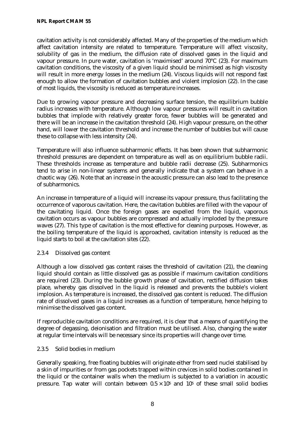cavitation activity is not considerably affected. Many of the properties of the medium which affect cavitation intensity are related to temperature. Temperature will affect viscosity, solubility of gas in the medium, the diffusion rate of dissolved gases in the liquid and vapour pressure. In pure water, cavitation is 'maximised' around 70°C (23). For maximum cavitation conditions, the viscosity of a given liquid should be minimised as high viscosity will result in more energy losses in the medium (24). Viscous liquids will not respond fast enough to allow the formation of cavitation bubbles and violent implosion (22). In the case of most liquids, the viscosity is reduced as temperature increases.

Due to growing vapour pressure and decreasing surface tension, the equilibrium bubble radius increases with temperature. Although low vapour pressures will result in cavitation bubbles that implode with relatively greater force, fewer bubbles will be generated and there will be an increase in the cavitation threshold (24). High vapour pressure, on the other hand, will lower the cavitation threshold and increase the number of bubbles but will cause these to collapse with less intensity (24).

Temperature will also influence subharmonic effects. It has been shown that subharmonic threshold pressures are dependent on temperature as well as on equilibrium bubble radii. These thresholds increase as temperature and bubble radii decrease (25). Subharmonics tend to arise in non-linear systems and generally indicate that a system can behave in a chaotic way (26). Note that an increase in the acoustic pressure can also lead to the presence of subharmonics.

An increase in temperature of a liquid will increase its vapour pressure, thus facilitating the occurrence of vaporous cavitation. Here, the cavitation bubbles are filled with the vapour of the cavitating liquid. Once the foreign gases are expelled from the liquid, vaporous cavitation occurs as vapour bubbles are compressed and actually imploded by the pressure waves (27). This type of cavitation is the most effective for cleaning purposes. However, as the boiling temperature of the liquid is approached, cavitation intensity is reduced as the liquid starts to boil at the cavitation sites (22).

## 2.3.4 Dissolved gas content

Although a low dissolved gas content raises the threshold of cavitation (21), the cleaning liquid should contain as little dissolved gas as possible if maximum cavitation conditions are required (23). During the bubble growth phase of cavitation, rectified diffusion takes place, whereby gas dissolved in the liquid is released and prevents the bubble's violent implosion. As temperature is increased, the dissolved gas content is reduced. The diffusion rate of dissolved gases in a liquid increases as a function of temperature, hence helping to minimise the dissolved gas content.

If reproducible cavitation conditions are required, it is clear that a means of quantifying the degree of degassing, deionisation and filtration must be utilised. Also, changing the water at regular time intervals will be necessary since its properties will change over time.

## 2.3.5 Solid bodies in medium

Generally speaking, free floating bubbles will originate either from seed nuclei stabilised by a skin of impurities or from gas pockets trapped within crevices in solid bodies contained in the liquid or the container walls when the medium is subjected to a variation in acoustic pressure. Tap water will contain between  $0.5 \times 10^5$  and  $10^5$  of these small solid bodies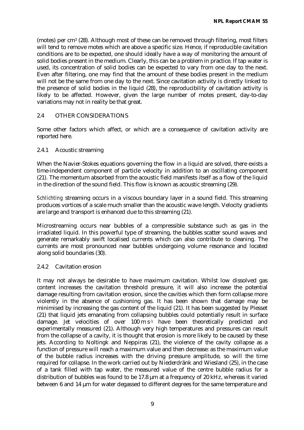(motes) per cm3 (28). Although most of these can be removed through filtering, most filters will tend to remove motes which are above a specific size. Hence, if reproducible cavitation conditions are to be expected, one should ideally have a way of monitoring the amount of solid bodies present in the medium. Clearly, this can be a problem in practice. If tap water is used, its concentration of solid bodies can be expected to vary from one day to the next. Even after filtering, one may find that the amount of these bodies present in the medium will not be the same from one day to the next. Since cavitation activity is directly linked to the presence of solid bodies in the liquid (28), the reproducibility of cavitation activity is likely to be affected. However, given the large number of motes present, day-to-day variations may not in reality be that great.

### 2.4 OTHER CONSIDERATIONS

Some other factors which affect, or which are a consequence of cavitation activity are reported here.

#### 2.4.1 Acoustic streaming

When the Navier-Stokes equations governing the flow in a liquid are solved, there exists a time-independent component of particle velocity in addition to an oscillating component (21). The momentum absorbed from the acoustic field manifests itself as a flow of the liquid in the direction of the sound field. This flow is known as acoustic streaming (29).

*Schlichting* streaming occurs in a viscous boundary layer in a sound field. This streaming produces vortices of a scale much smaller than the acoustic wave length. Velocity gradients are large and transport is enhanced due to this streaming (21).

Microstreaming occurs near bubbles of a compressible substance such as gas in the irradiated liquid. In this powerful type of streaming, the bubbles scatter sound waves and generate remarkably swift localised currents which can also contribute to cleaning. The currents are most pronounced near bubbles undergoing volume resonance and located along solid boundaries (30).

#### 2.4.2 Cavitation erosion

It may not always be desirable to have maximum cavitation. Whilst low dissolved gas content increases the cavitation threshold pressure, it will also increase the potential damage resulting from cavitation erosion, since the cavities which then form collapse more violently in the absence of cushioning gas. It has been shown that damage may be minimised by increasing the gas content of the liquid (21). It has been suggested by Plesset (21) that liquid jets emanating from collapsing bubbles could potentially result in surface damage. Jet velocities of over 100 m s -1 have been theoretically predicted and experimentally measured (21). Although very high temperatures and pressures can result from the collapse of a cavity, it is thought that erosion is more likely to be caused by these jets. According to Noltingk and Neppiras (21), the violence of the cavity collapse as a function of pressure will reach a maximum value and then decrease: as the maximum value of the bubble radius increases with the driving pressure amplitude, so will the time required for collapse. In the work carried out by Niederdränk and Wiesland (25), in the case of a tank filled with tap water, the measured value of the centre bubble radius for a distribution of bubbles was found to be 17.8 μm at a frequency of 20 kHz, whereas it varied between 6 and 14 μm for water degassed to different degrees for the same temperature and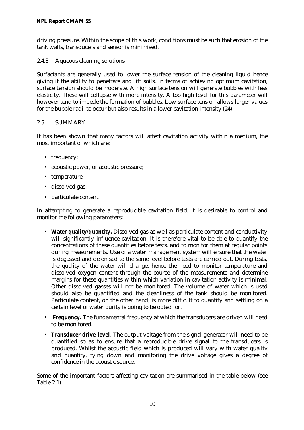driving pressure. Within the scope of this work, conditions must be such that erosion of the tank walls, transducers and sensor is minimised.

### 2.4.3 Aqueous cleaning solutions

Surfactants are generally used to lower the surface tension of the cleaning liquid hence giving it the ability to penetrate and lift soils. In terms of achieving optimum cavitation, surface tension should be moderate. A high surface tension will generate bubbles with less elasticity. These will collapse with more intensity. A too high level for this parameter will however tend to impede the formation of bubbles. Low surface tension allows larger values for the bubble radii to occur but also results in a lower cavitation intensity (24).

### 2.5 SUMMARY

It has been shown that many factors will affect cavitation activity within a medium, the most important of which are:

- frequency;
- acoustic power, or acoustic pressure;
- temperature;
- dissolved gas;
- particulate content.

In attempting to generate a reproducible cavitation field, it is desirable to control and monitor the following parameters:

- **Water quality/quantity.** Dissolved gas as well as particulate content and conductivity will significantly influence cavitation. It is therefore vital to be able to quantify the concentrations of these quantities before tests, and to monitor them at regular points during measurements. Use of a water management system will ensure that the water is degassed and deionised to the same level before tests are carried out. During tests, the quality of the water will change, hence the need to monitor temperature and dissolved oxygen content through the course of the measurements and determine margins for these quantities within which variation in cavitation activity is minimal. Other dissolved gasses will not be monitored. The volume of water which is used should also be quantified and the cleanliness of the tank should be monitored. Particulate content, on the other hand, is more difficult to quantify and settling on a certain level of water purity is going to be opted for.
- **Frequency.** The fundamental frequency at which the transducers are driven will need to be monitored.
- **Transducer drive level**. The output voltage from the signal generator will need to be quantified so as to ensure that a reproducible drive signal to the transducers is produced. Whilst the acoustic field which is produced will vary with water quality and quantity, tying down and monitoring the drive voltage gives a degree of confidence in the acoustic source.

Some of the important factors affecting cavitation are summarised in the table below (see Table 2.1).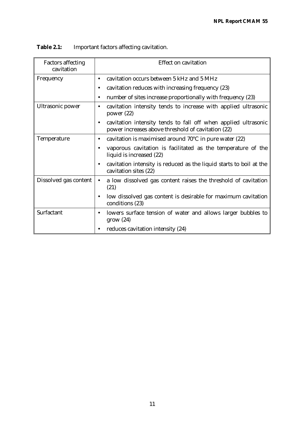| <b>Factors affecting</b><br>cavitation | <b>Effect on cavitation</b>                                                                                               |  |  |
|----------------------------------------|---------------------------------------------------------------------------------------------------------------------------|--|--|
| Frequency                              | cavitation occurs between 5 kHz and 5 MHz<br>$\bullet$                                                                    |  |  |
|                                        | cavitation reduces with increasing frequency (23)<br>$\bullet$                                                            |  |  |
|                                        | number of sites increase proportionally with frequency (23)<br>$\bullet$                                                  |  |  |
| Ultrasonic power                       | cavitation intensity tends to increase with applied ultrasonic<br>$\bullet$<br>power $(22)$                               |  |  |
|                                        | cavitation intensity tends to fall off when applied ultrasonic<br>٠<br>power increases above threshold of cavitation (22) |  |  |
| Temperature                            | cavitation is maximised around $70^{\circ}$ C in pure water (22)<br>$\bullet$                                             |  |  |
|                                        | vaporous cavitation is facilitated as the temperature of the<br>$\bullet$<br>liquid is increased (22)                     |  |  |
|                                        | cavitation intensity is reduced as the liquid starts to boil at the<br>٠<br>cavitation sites (22)                         |  |  |
| Dissolved gas content                  | a low dissolved gas content raises the threshold of cavitation<br>$\bullet$<br>(21)                                       |  |  |
|                                        | low dissolved gas content is desirable for maximum cavitation<br>$\bullet$<br>conditions (23)                             |  |  |
| Surfactant                             | lowers surface tension of water and allows larger bubbles to<br>٠<br>grow(24)                                             |  |  |
|                                        | reduces cavitation intensity (24)                                                                                         |  |  |

| <b>Table 2.1:</b> |  | Important factors affecting cavitation. |
|-------------------|--|-----------------------------------------|
|-------------------|--|-----------------------------------------|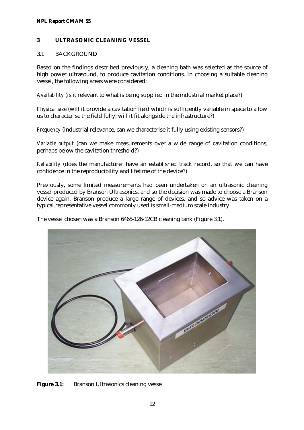#### **NPL Report CMAM 55**

#### **3 ULTRASONIC CLEANING VESSEL**

#### 3.1 BACKGROUND

Based on the findings described previously, a cleaning bath was selected as the source of high power ultrasound, to produce cavitation conditions. In choosing a suitable cleaning vessel, the following areas were considered:

*Availability* (is it relevant to what is being supplied in the industrial market place?)

*Physical size* (will it provide a cavitation field which is sufficiently variable in space to allow us to characterise the field fully; will it fit alongside the infrastructure?)

*Frequency* (industrial relevance, can we characterise it fully using existing sensors?)

*Variable output* (can we make measurements over a wide range of cavitation conditions, perhaps below the cavitation threshold?)

*Reliability* (does the manufacturer have an established track record, so that we can have confidence in the reproducibility and lifetime of the device?)

Previously, some limited measurements had been undertaken on an ultrasonic cleaning vessel produced by Branson Ultrasonics, and so the decision was made to choose a Branson device again. Branson produce a large range of devices, and so advice was taken on a typical representative vessel commonly used is small-medium scale industry.

The vessel chosen was a Branson 6465-126-12CB cleaning tank (Figure 3.1).



**Figure 3.1:** Branson Ultrasonics cleaning vessel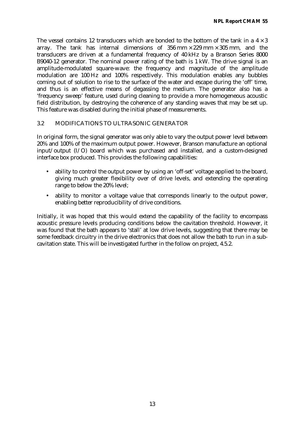The vessel contains 12 transducers which are bonded to the bottom of the tank in a  $4 \times 3$ array. The tank has internal dimensions of  $356 \text{ mm} \times 229 \text{ mm} \times 305 \text{ mm}$ , and the transducers are driven at a fundamental frequency of 40 kHz by a Branson Series 8000 B9040-12 generator. The nominal power rating of the bath is 1 kW. The drive signal is an amplitude-modulated square-wave: the frequency and magnitude of the amplitude modulation are 100 Hz and 100% respectively. This modulation enables any bubbles coming out of solution to rise to the surface of the water and escape during the 'off' time, and thus is an effective means of degassing the medium. The generator also has a 'frequency sweep' feature, used during cleaning to provide a more homogeneous acoustic field distribution, by destroying the coherence of any standing waves that may be set up. This feature was disabled during the initial phase of measurements.

### 3.2 MODIFICATIONS TO ULTRASONIC GENERATOR

In original form, the signal generator was only able to vary the output power level between 20% and 100% of the maximum output power. However, Branson manufacture an optional input/output (I/O) board which was purchased and installed, and a custom-designed interface box produced. This provides the following capabilities:

- ability to control the output power by using an 'off-set' voltage applied to the board, giving much greater flexibility over of drive levels, and extending the operating range to below the 20% level;
- ability to monitor a voltage value that corresponds linearly to the output power, enabling better reproducibility of drive conditions.

Initially, it was hoped that this would extend the capability of the facility to encompass acoustic pressure levels producing conditions below the cavitation threshold. However, it was found that the bath appears to 'stall' at low drive levels, suggesting that there may be some feedback circuitry in the drive electronics that does not allow the bath to run in a subcavitation state. This will be investigated further in the follow on project, 4.5.2.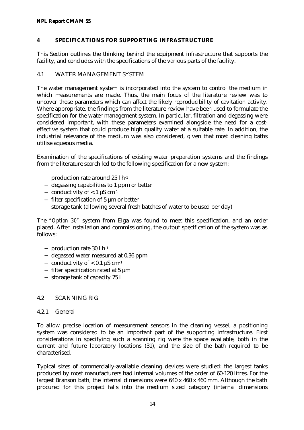#### **NPL Report CMAM 55**

### **4 SPECIFICATIONS FOR SUPPORTING INFRASTRUCTURE**

This Section outlines the thinking behind the equipment infrastructure that supports the facility, and concludes with the specifications of the various parts of the facility.

### 4.1 WATER MANAGEMENT SYSTEM

The water management system is incorporated into the system to control the medium in which measurements are made. Thus, the main focus of the literature review was to uncover those parameters which can affect the likely reproducibility of cavitation activity. Where appropriate, the findings from the literature review have been used to formulate the specification for the water management system. In particular, filtration and degassing were considered important, with these parameters examined alongside the need for a costeffective system that could produce high quality water at a suitable rate. In addition, the industrial relevance of the medium was also considered, given that most cleaning baths utilise aqueous media.

Examination of the specifications of existing water preparation systems and the findings from the literature search led to the following specification for a new system:

- − production rate around 25 l h-1
- − degassing capabilities to 1 ppm or better
- − conductivity of < 1 μS cm-1
- − filter specification of 5 μm or better
- − storage tank (allowing several fresh batches of water to be used per day)

The *"Option 30"* system from Elga was found to meet this specification, and an order placed. After installation and commissioning, the output specification of the system was as follows:

- − production rate 30 l h-1
- − degassed water measured at 0.36 ppm
- − conductivity of < 0.1 μS cm-1
- − filter specification rated at 5 μm
- − storage tank of capacity 75 l

### 4.2 SCANNING RIG

### 4.2.1 General

To allow precise location of measurement sensors in the cleaning vessel, a positioning system was considered to be an important part of the supporting infrastructure. First considerations in specifying such a scanning rig were the space available, both in the current and future laboratory locations (31), and the size of the bath required to be characterised.

Typical sizes of commercially-available cleaning devices were studied: the largest tanks produced by most manufacturers had internal volumes of the order of 60-120 litres. For the largest Branson bath, the internal dimensions were 640 x 460 x 460 mm. Although the bath procured for this project falls into the medium sized category (internal dimensions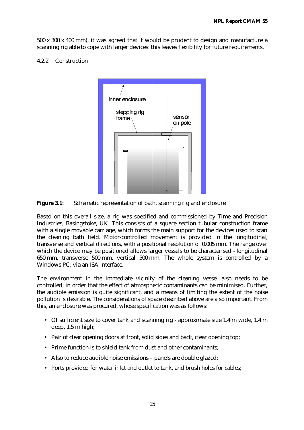500 x 300 x 400 mm), it was agreed that it would be prudent to design and manufacture a scanning rig able to cope with larger devices: this leaves flexibility for future requirements.

#### 4.2.2 Construction



**Figure 3.1:** Schematic representation of bath, scanning rig and enclosure

Based on this overall size, a rig was specified and commissioned by Time and Precision Industries, Basingstoke, UK. This consists of a square section tubular construction frame with a single movable carriage, which forms the main support for the devices used to scan the cleaning bath field. Motor-controlled movement is provided in the longitudinal, transverse and vertical directions, with a positional resolution of 0.005 mm. The range over which the device may be positioned allows larger vessels to be characterised - longitudinal 650 mm, transverse 500 mm, vertical 500 mm. The whole system is controlled by a Windows PC, via an ISA interface.

The environment in the immediate vicinity of the cleaning vessel also needs to be controlled, in order that the effect of atmospheric contaminants can be minimised. Further, the audible emission is quite significant, and a means of limiting the extent of the noise pollution is desirable. The considerations of space described above are also important. From this, an enclosure was procured, whose specification was as follows:

- Of sufficient size to cover tank and scanning rig approximate size 1.4 m wide, 1.4 m deep, 1.5 m high;
- Pair of clear opening doors at front, solid sides and back, clear opening top;
- Prime function is to shield tank from dust and other contaminants;
- Also to reduce audible noise emissions panels are double glazed;
- Ports provided for water inlet and outlet to tank, and brush holes for cables;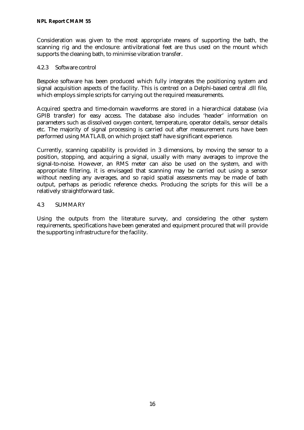Consideration was given to the most appropriate means of supporting the bath, the scanning rig and the enclosure: antivibrational feet are thus used on the mount which supports the cleaning bath, to minimise vibration transfer.

### 4.2.3 Software control

Bespoke software has been produced which fully integrates the positioning system and signal acquisition aspects of the facility. This is centred on a Delphi-based central .dll file, which employs simple scripts for carrying out the required measurements.

Acquired spectra and time-domain waveforms are stored in a hierarchical database (via GPIB transfer) for easy access. The database also includes 'header' information on parameters such as dissolved oxygen content, temperature, operator details, sensor details etc. The majority of signal processing is carried out after measurement runs have been performed using MATLAB, on which project staff have significant experience.

Currently, scanning capability is provided in 3 dimensions, by moving the sensor to a position, stopping, and acquiring a signal, usually with many averages to improve the signal-to-noise. However, an RMS meter can also be used on the system, and with appropriate filtering, it is envisaged that scanning may be carried out using a sensor without needing any averages, and so rapid spatial assessments may be made of bath output, perhaps as periodic reference checks. Producing the scripts for this will be a relatively straightforward task.

### 4.3 SUMMARY

Using the outputs from the literature survey, and considering the other system requirements, specifications have been generated and equipment procured that will provide the supporting infrastructure for the facility.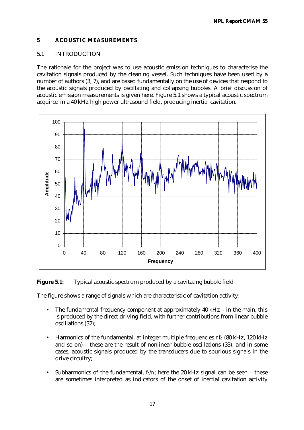### **5 ACOUSTIC MEASUREMENTS**

### 5.1 INTRODUCTION

The rationale for the project was to use acoustic emission techniques to characterise the cavitation signals produced by the cleaning vessel. Such techniques have been used by a number of authors (3, 7), and are based fundamentally on the use of devices that respond to the acoustic signals produced by oscillating and collapsing bubbles. A brief discussion of acoustic emission measurements is given here. Figure 5.1 shows a typical acoustic spectrum acquired in a 40 kHz high power ultrasound field, producing inertial cavitation.



**Figure 5.1:** Typical acoustic spectrum produced by a cavitating bubble field

The figure shows a range of signals which are characteristic of cavitation activity:

- The fundamental frequency component at approximately 40 kHz in the main, this is produced by the direct driving field, with further contributions from linear bubble oscillations (32);
- Harmonics of the fundamental, at integer multiple frequencies *nf0* (80 kHz, 120 kHz and so on) – these are the result of nonlinear bubble oscillations (33), and in some cases, acoustic signals produced by the transducers due to spurious signals in the drive circuitry;
- Subharmonics of the fundamental,  $f_0/r$ ; here the 20 kHz signal can be seen these are sometimes interpreted as indicators of the onset of inertial cavitation activity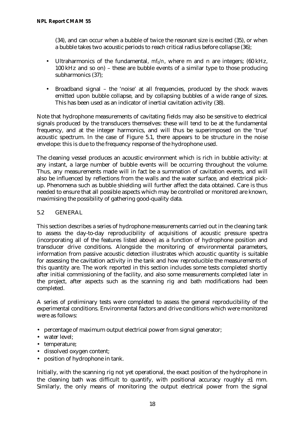(34), and can occur when a bubble of twice the resonant size is excited (35), or when a bubble takes two acoustic periods to reach critical radius before collapse (36);

- Ultraharmonics of the fundamental, *mf0/n*, where m and n are integers; (60 kHz, 100 kHz and so on) – these are bubble events of a similar type to those producing subharmonics (37);
- Broadband signal the 'noise' at all frequencies, produced by the shock waves emitted upon bubble collapse, and by collapsing bubbles of a wide range of sizes. This has been used as an indicator of inertial cavitation activity (38).

Note that hydrophone measurements of cavitating fields may also be sensitive to electrical signals produced by the transducers themselves: these will tend to be at the fundamental frequency, and at the integer harmonics, and will thus be superimposed on the 'true' acoustic spectrum. In the case of Figure 5.1, there appears to be structure in the noise envelope: this is due to the frequency response of the hydrophone used.

The cleaning vessel produces an acoustic environment which is rich in bubble activity: at any instant, a large number of bubble events will be occurring throughout the volume. Thus, any measurements made will in fact be a summation of cavitation events, and will also be influenced by reflections from the walls and the water surface, and electrical pickup. Phenomena such as bubble shielding will further affect the data obtained. Care is thus needed to ensure that all possible aspects which may be controlled or monitored are known, maximising the possibility of gathering good-quality data.

### 5.2 GENERAL

This section describes a series of hydrophone measurements carried out in the cleaning tank to assess the day-to-day reproducibility of acquisitions of acoustic pressure spectra (incorporating all of the features listed above) as a function of hydrophone position and transducer drive conditions. Alongside the monitoring of environmental parameters, information from passive acoustic detection illustrates which acoustic quantity is suitable for assessing the cavitation activity in the tank and how reproducible the measurements of this quantity are. The work reported in this section includes some tests completed shortly after initial commissioning of the facility, and also some measurements completed later in the project, after aspects such as the scanning rig and bath modifications had been completed.

A series of preliminary tests were completed to assess the general reproducibility of the experimental conditions. Environmental factors and drive conditions which were monitored were as follows:

- percentage of maximum output electrical power from signal generator;
- water level:
- temperature;
- dissolved oxygen content;
- position of hydrophone in tank.

Initially, with the scanning rig not yet operational, the exact position of the hydrophone in the cleaning bath was difficult to quantify, with positional accuracy roughly  $\pm 1$  mm. Similarly, the only means of monitoring the output electrical power from the signal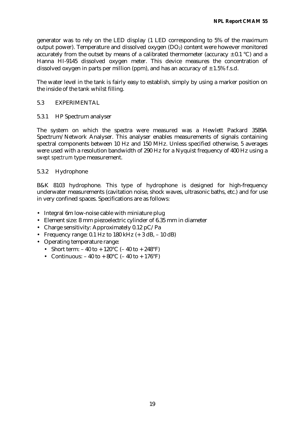generator was to rely on the LED display (1 LED corresponding to 5% of the maximum output power). Temperature and dissolved oxygen (DO<sub>2</sub>) content were however monitored accurately from the outset by means of a calibrated thermometer (accuracy  $\pm$  0.1 °C) and a Hanna HI-9145 dissolved oxygen meter. This device measures the concentration of dissolved oxygen in parts per million (ppm), and has an accuracy of  $\pm$  1.5% f.s.d.

The water level in the tank is fairly easy to establish, simply by using a marker position on the inside of the tank whilst filling.

#### 5.3 EXPERIMENTAL

5.3.1 HP Spectrum analyser

The system on which the spectra were measured was a Hewlett Packard 3589A Spectrum/Network Analyser. This analyser enables measurements of signals containing spectral components between 10 Hz and 150 MHz. Unless specified otherwise, 5 averages were used with a resolution bandwidth of 290 Hz for a Nyquist frequency of 400 Hz using a *swept spectrum* type measurement.

### 5.3.2 Hydrophone

B&K 8103 hydrophone. This type of hydrophone is designed for high-frequency underwater measurements (cavitation noise, shock waves, ultrasonic baths, etc.) and for use in very confined spaces. Specifications are as follows:

- Integral 6m low-noise cable with miniature plug
- Element size: 8 mm piezoelectric cylinder of 6.35 mm in diameter
- Charge sensitivity: Approximately 0.12 pC/Pa
- Frequency range: 0.1 Hz to 180 kHz  $(+ 3$  dB,  $10$  dB)
- Operating temperature range:
	- Short term:  $-40$  to  $+120^{\circ}$ C ( $-40$  to  $+248^{\circ}$ F)
	- Continuous:  $-40$  to  $+80^{\circ}$ C ( $-40$  to  $+176^{\circ}$ F)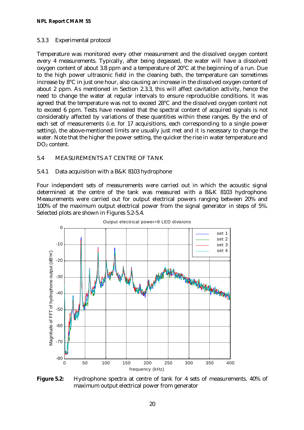### 5.3.3 Experimental protocol

Temperature was monitored every other measurement and the dissolved oxygen content every 4 measurements. Typically, after being degassed, the water will have a dissolved oxygen content of about 3.8 ppm and a temperature of 20°C at the beginning of a run. Due to the high power ultrasonic field in the cleaning bath, the temperature can sometimes increase by 8°C in just one hour, also causing an increase in the dissolved oxygen content of about 2 ppm. As mentioned in Section 2.3.3, this will affect cavitation activity, hence the need to change the water at regular intervals to ensure reproducible conditions. It was agreed that the temperature was not to exceed 28°C and the dissolved oxygen content not to exceed 6 ppm. Tests have revealed that the spectral content of acquired signals is not considerably affected by variations of these quantities within these ranges. By the end of each set of measurements (i.e. for 17 acquisitions, each corresponding to a single power setting), the above-mentioned limits are usually just met and it is necessary to change the water. Note that the higher the power setting, the quicker the rise in water temperature and DO<sub>2</sub> content.

## 5.4 MEASUREMENTS AT CENTRE OF TANK

### 5.4.1 Data acquisition with a B&K 8103 hydrophone

Four independent sets of measurements were carried out in which the acoustic signal determined at the centre of the tank was measured with a B&K 8103 hydrophone. Measurements were carried out for output electrical powers ranging between 20% and 100% of the maximum output electrical power from the signal generator in steps of 5%. Selected plots are shown in Figures 5.2-5.4.



**Figure 5.2:** Hydrophone spectra at centre of tank for 4 sets of measurements. 40% of maximum output electrical power from generator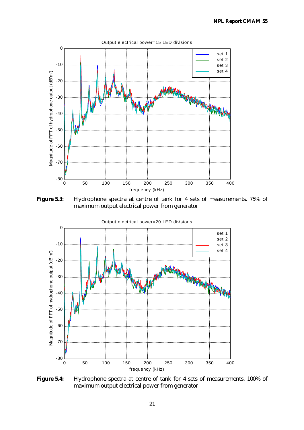

**Figure 5.3:** Hydrophone spectra at centre of tank for 4 sets of measurements. 75% of maximum output electrical power from generator



**Figure 5.4:** Hydrophone spectra at centre of tank for 4 sets of measurements. 100% of maximum output electrical power from generator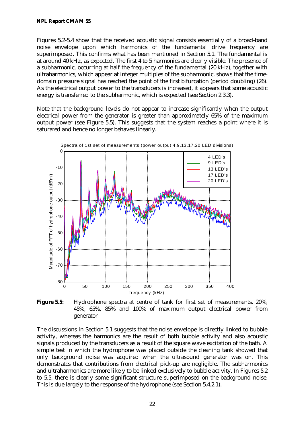Figures 5.2-5.4 show that the received acoustic signal consists essentially of a broad-band noise envelope upon which harmonics of the fundamental drive frequency are superimposed. This confirms what has been mentioned in Section 5.1. The fundamental is at around 40 kHz, as expected. The first 4 to 5 harmonics are clearly visible. The presence of a subharmonic, occurring at half the frequency of the fundamental (20 kHz), together with ultraharmonics, which appear at integer multiples of the subharmonic, shows that the timedomain pressure signal has reached the point of the first bifurcation (period doubling) (26). As the electrical output power to the transducers is increased, it appears that some acoustic energy is transferred to the subharmonic, which is expected (see Section 2.3.3).

Note that the background levels do not appear to increase significantly when the output electrical power from the generator is greater than approximately 65% of the maximum output power (see Figure 5.5). This suggests that the system reaches a point where it is saturated and hence no longer behaves linearly.



**Figure 5.5:** Hydrophone spectra at centre of tank for first set of measurements. 20%, 45%, 65%, 85% and 100% of maximum output electrical power from generator

The discussions in Section 5.1 suggests that the noise envelope is directly linked to bubble activity, whereas the harmonics are the result of both bubble activity and also acoustic signals produced by the transducers as a result of the square wave excitation of the bath. A simple test in which the hydrophone was placed outside the cleaning tank showed that only background noise was acquired when the ultrasound generator was on. This demonstrates that contributions from electrical pick-up are negligible. The subharmonics and ultraharmonics are more likely to be linked exclusively to bubble activity. In Figures 5.2 to 5.5, there is clearly some significant structure superimposed on the background noise. This is due largely to the response of the hydrophone (see Section 5.4.2.1).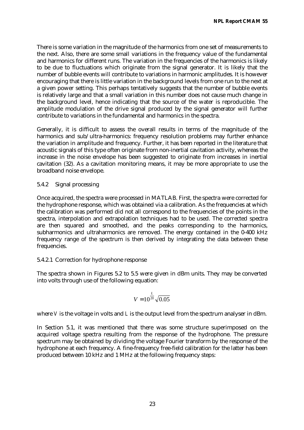There is some variation in the magnitude of the harmonics from one set of measurements to the next. Also, there are some small variations in the frequency value of the fundamental and harmonics for different runs. The variation in the frequencies of the harmonics is likely to be due to fluctuations which originate from the signal generator. It is likely that the number of bubble events will contribute to variations in harmonic amplitudes. It is however encouraging that there is little variation in the background levels from one run to the next at a given power setting. This perhaps tentatively suggests that the number of bubble events is relatively large and that a small variation in this number does not cause much change in the background level, hence indicating that the source of the water is reproducible. The amplitude modulation of the drive signal produced by the signal generator will further contribute to variations in the fundamental and harmonics in the spectra.

Generally, it is difficult to assess the overall results in terms of the magnitude of the harmonics and sub/ultra-harmonics: frequency resolution problems may further enhance the variation in amplitude and frequency. Further, it has been reported in the literature that acoustic signals of this type often originate from non-inertial cavitation activity, whereas the increase in the noise envelope has been suggested to originate from increases in inertial cavitation (32). As a cavitation monitoring means, it may be more appropriate to use the broadband noise envelope.

### 5.4.2 Signal processing

Once acquired, the spectra were processed in MATLAB. First, the spectra were corrected for the hydrophone response, which was obtained via a calibration. As the frequencies at which the calibration was performed did not all correspond to the frequencies of the points in the spectra, interpolation and extrapolation techniques had to be used. The corrected spectra are then squared and smoothed, and the peaks corresponding to the harmonics, subharmonics and ultraharmonics are removed. The energy contained in the 0-400 kHz frequency range of the spectrum is then derived by integrating the data between these frequencies.

### 5.4.2.1 Correction for hydrophone response

The spectra shown in Figures 5.2 to 5.5 were given in dBm units. They may be converted into volts through use of the following equation:

$$
V = 10^{\frac{L}{20}} \sqrt{0.05}
$$

where *V* is the voltage in volts and *L* is the output level from the spectrum analyser in dBm.

In Section 5.1, it was mentioned that there was some structure superimposed on the acquired voltage spectra resulting from the response of the hydrophone. The pressure spectrum may be obtained by dividing the voltage Fourier transform by the response of the hydrophone at each frequency. A fine-frequency free-field calibration for the latter has been produced between 10 kHz and 1 MHz at the following frequency steps: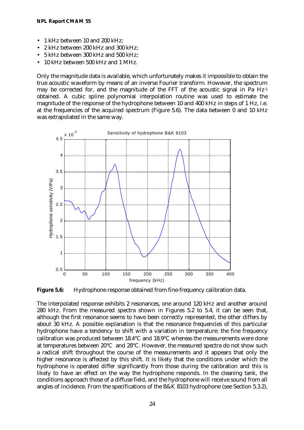- 1 kHz between 10 and 200 kHz;
- 2 kHz between 200 kHz and 300 kHz;
- 5 kHz between 300 kHz and 500 kHz;
- 10 kHz between 500 kHz and 1 MHz.

Only the magnitude data is available, which unfortunately makes it impossible to obtain the true acoustic waveform by means of an inverse Fourier transform. However, the spectrum may be corrected for, and the magnitude of the FFT of the acoustic signal in Pa Hz-1 obtained. A cubic spline polynomial interpolation routine was used to estimate the magnitude of the response of the hydrophone between 10 and 400 kHz in steps of 1 Hz, i.e. at the frequencies of the acquired spectrum (Figure 5.6). The data between 0 and 10 kHz was extrapolated in the same way.



**Figure 5.6:** Hydrophone response obtained from fine-frequency calibration data.

The interpolated response exhibits 2 resonances, one around 120 kHz and another around 280 kHz. From the measured spectra shown in Figures 5.2 to 5.4, it can be seen that, although the first resonance seems to have been correctly represented, the other differs by about 30 kHz. A possible explanation is that the resonance frequencies of this particular hydrophone have a tendency to shift with a variation in temperature: the fine frequency calibration was produced between 18.4°C and 18.9°C whereas the measurements were done at temperatures between 20°C and 28°C. However, the measured spectra do not show such a radical shift throughout the course of the measurements and it appears that only the higher resonance is affected by this shift. It is likely that the conditions under which the hydrophone is operated differ significantly from those during the calibration and this is likely to have an effect on the way the hydrophone responds. In the cleaning tank, the conditions approach those of a diffuse field, and the hydrophone will receive sound from all angles of incidence. From the specifications of the B&K 8103 hydrophone (see Section 5.3.2),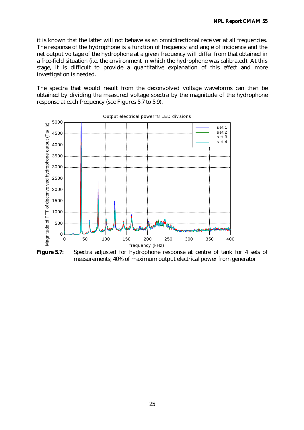it is known that the latter will not behave as an omnidirectional receiver at all frequencies. The response of the hydrophone is a function of frequency and angle of incidence and the net output voltage of the hydrophone at a given frequency will differ from that obtained in a free-field situation (i.e. the environment in which the hydrophone was calibrated). At this stage, it is difficult to provide a quantitative explanation of this effect and more investigation is needed.

The spectra that would result from the deconvolved voltage waveforms can then be obtained by dividing the measured voltage spectra by the magnitude of the hydrophone response at each frequency (see Figures 5.7 to 5.9).



Output electrical power=8 LED divisions

**Figure 5.7:** Spectra adjusted for hydrophone response at centre of tank for 4 sets of measurements; 40% of maximum output electrical power from generator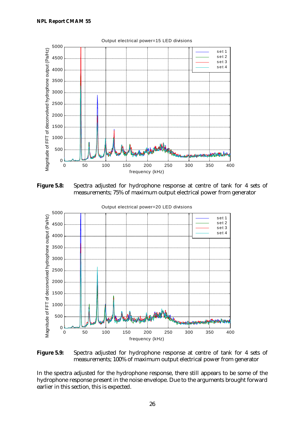

**Figure 5.8:** Spectra adjusted for hydrophone response at centre of tank for 4 sets of measurements; 75% of maximum output electrical power from generator



**Figure 5.9:** Spectra adjusted for hydrophone response at centre of tank for 4 sets of measurements; 100% of maximum output electrical power from generator

In the spectra adjusted for the hydrophone response, there still appears to be some of the hydrophone response present in the noise envelope. Due to the arguments brought forward earlier in this section, this is expected.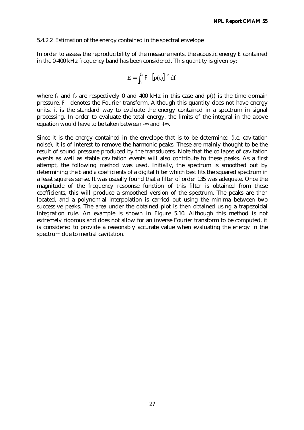#### 5.4.2.2 Estimation of the energy contained in the spectral envelope

In order to assess the reproducibility of the measurements, the acoustic energy *E* contained in the 0-400 kHz frequency band has been considered. This quantity is given by:

$$
E=\int_{f_1}^{f_2}\left|{\digamma\ \left[p(t)\right]}\right|^2\,df
$$

where  $f_1$  and  $f_2$  are respectively 0 and 400 kHz in this case and  $p(t)$  is the time domain pressure. *F* denotes the Fourier transform. Although this quantity does not have energy units, it is the standard way to evaluate the energy contained in a spectrum in signal processing. In order to evaluate the total energy, the limits of the integral in the above equation would have to be taken between -∞ and +∞.

Since it is the energy contained in the envelope that is to be determined (i.e. cavitation noise), it is of interest to remove the harmonic peaks. These are mainly thought to be the result of sound pressure produced by the transducers. Note that the collapse of cavitation events as well as stable cavitation events will also contribute to these peaks. As a first attempt, the following method was used. Initially, the spectrum is smoothed out by determining the *b* and *a* coefficients of a digital filter which best fits the squared spectrum in a least squares sense. It was usually found that a filter of order 135 was adequate. Once the magnitude of the frequency response function of this filter is obtained from these coefficients, this will produce a smoothed version of the spectrum. The peaks are then located, and a polynomial interpolation is carried out using the minima between two successive peaks. The area under the obtained plot is then obtained using a trapezoidal integration rule. An example is shown in Figure 5.10. Although this method is not extremely rigorous and does not allow for an inverse Fourier transform to be computed, it is considered to provide a reasonably accurate value when evaluating the energy in the spectrum due to inertial cavitation.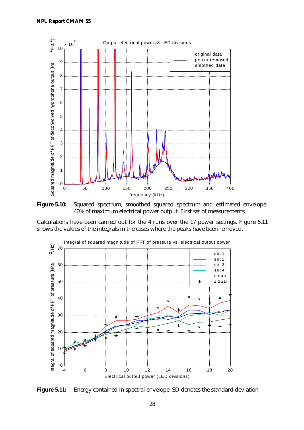

**Figure 5.10:** Squared spectrum, smoothed squared spectrum and estimated envelope. 40% of maximum electrical power output. First set of measurements

Calculations have been carried out for the 4 runs over the 17 power settings. Figure 5.11 shows the values of the integrals in the cases where the peaks have been removed.



**Figure 5.11:** Energy contained in spectral envelope: SD denotes the standard deviation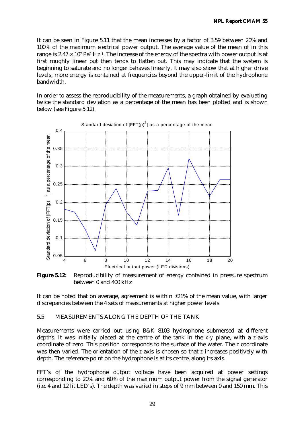It can be seen in Figure 5.11 that the mean increases by a factor of 3.59 between 20% and 100% of the maximum electrical power output. The average value of the mean of in this range is  $2.47 \times 10^7$  Pa<sup>2</sup> Hz<sup>-1</sup>. The increase of the energy of the spectra with power output is at first roughly linear but then tends to flatten out. This may indicate that the system is beginning to saturate and no longer behaves linearly. It may also show that at higher drive levels, more energy is contained at frequencies beyond the upper-limit of the hydrophone bandwidth.

In order to assess the reproducibility of the measurements, a graph obtained by evaluating twice the standard deviation as a percentage of the mean has been plotted and is shown below (see Figure 5.12).



**Figure 5.12:** Reproducibility of measurement of energy contained in pressure spectrum between 0 and 400 kHz

It can be noted that on average, agreement is within  $\pm 21\%$  of the mean value, with larger discrepancies between the 4 sets of measurements at higher power levels.

### 5.5 MEASUREMENTS ALONG THE DEPTH OF THE TANK

Measurements were carried out using B&K 8103 hydrophone submersed at different depths. It was initially placed at the centre of the tank in the *x*-*y* plane, with a *z*-axis coordinate of zero. This position corresponds to the surface of the water. The *z* coordinate was then varied. The orientation of the *z*-axis is chosen so that *z* increases positively with depth. The reference point on the hydrophone is at its centre, along its axis.

FFT's of the hydrophone output voltage have been acquired at power settings corresponding to 20% and 60% of the maximum output power from the signal generator (i.e. 4 and 12 lit LED's). The depth was varied in steps of 9 mm between 0 and 150 mm. This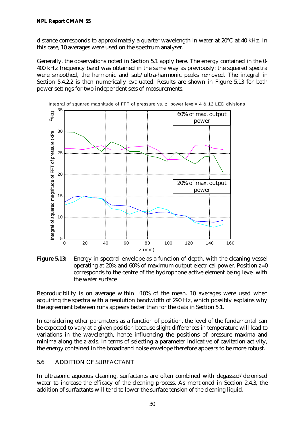distance corresponds to approximately a quarter wavelength in water at 20°C at 40 kHz. In this case, 10 averages were used on the spectrum analyser.

Generally, the observations noted in Section 5.1 apply here. The energy contained in the 0- 400 kHz frequency band was obtained in the same way as previously: the squared spectra were smoothed, the harmonic and sub/ultra-harmonic peaks removed. The integral in Section 5.4.2.2 is then numerically evaluated. Results are shown in Figure 5.13 for both power settings for two independent sets of measurements.



**Figure 5.13:** Energy in spectral envelope as a function of depth, with the cleaning vessel operating at 20% and 60% of maximum output electrical power. Position *z*=0 corresponds to the centre of the hydrophone active element being level with the water surface

Reproducibility is on average within  $\pm 10\%$  of the mean. 10 averages were used when acquiring the spectra with a resolution bandwidth of 290 Hz, which possibly explains why the agreement between runs appears better than for the data in Section 5.1.

In considering other parameters as a function of position, the level of the fundamental can be expected to vary at a given position because slight differences in temperature will lead to variations in the wavelength, hence influencing the positions of pressure maxima and minima along the *z*-axis. In terms of selecting a parameter indicative of cavitation activity, the energy contained in the broadband noise envelope therefore appears to be more robust.

## 5.6 ADDITION OF SURFACTANT

In ultrasonic aqueous cleaning, surfactants are often combined with degassed/deionised water to increase the efficacy of the cleaning process. As mentioned in Section 2.4.3, the addition of surfactants will tend to lower the surface tension of the cleaning liquid.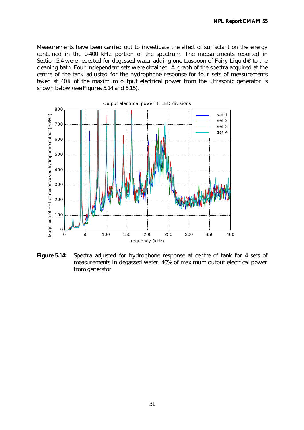Measurements have been carried out to investigate the effect of surfactant on the energy contained in the 0-400 kHz portion of the spectrum. The measurements reported in Section 5.4 were repeated for degassed water adding one teaspoon of Fairy Liquid® to the cleaning bath. Four independent sets were obtained. A graph of the spectra acquired at the centre of the tank adjusted for the hydrophone response for four sets of measurements taken at 40% of the maximum output electrical power from the ultrasonic generator is shown below (see Figures 5.14 and 5.15).



**Figure 5.14:** Spectra adjusted for hydrophone response at centre of tank for 4 sets of measurements in degassed water; 40% of maximum output electrical power from generator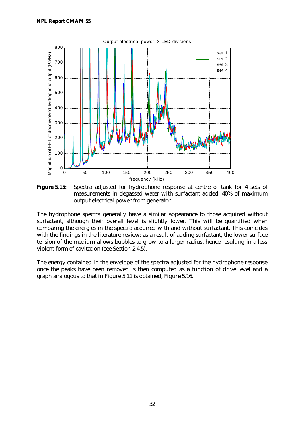

**Figure 5.15:** Spectra adjusted for hydrophone response at centre of tank for 4 sets of measurements in degassed water with surfactant added; 40% of maximum output electrical power from generator

The hydrophone spectra generally have a similar appearance to those acquired without surfactant, although their overall level is slightly lower. This will be quantified when comparing the energies in the spectra acquired with and without surfactant. This coincides with the findings in the literature review: as a result of adding surfactant, the lower surface tension of the medium allows bubbles to grow to a larger radius, hence resulting in a less violent form of cavitation (see Section 2.4.5).

The energy contained in the envelope of the spectra adjusted for the hydrophone response once the peaks have been removed is then computed as a function of drive level and a graph analogous to that in Figure 5.11 is obtained, Figure 5.16.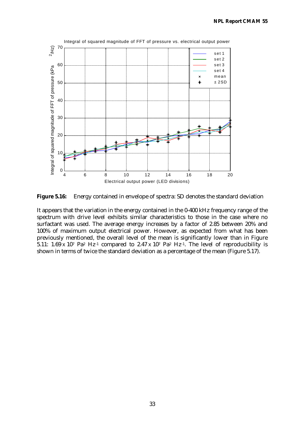

**Figure 5.16:** Energy contained in envelope of spectra: SD denotes the standard deviation

It appears that the variation in the energy contained in the 0-400 kHz frequency range of the spectrum with drive level exhibits similar characteristics to those in the case where no surfactant was used. The average energy increases by a factor of 2.85 between 20% and 100% of maximum output electrical power. However, as expected from what has been previously mentioned, the overall level of the mean is significantly lower than in Figure 5.11: 1.69 x 10<sup>7</sup> Pa<sup>2</sup> Hz<sup>-1</sup> compared to 2.47 x 10<sup>7</sup> Pa<sup>2</sup> Hz<sup>-1</sup>. The level of reproducibility is shown in terms of twice the standard deviation as a percentage of the mean (Figure 5.17).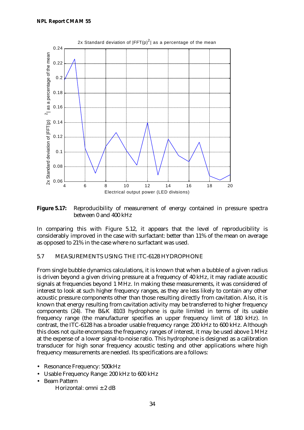

**Figure 5.17:** Reproducibility of measurement of energy contained in pressure spectra between 0 and 400 kHz

In comparing this with Figure 5.12, it appears that the level of reproducibility is considerably improved in the case with surfactant: better than 11% of the mean on average as opposed to 21% in the case where no surfactant was used.

### 5.7 MEASUREMENTS USING THE ITC-6128 HYDROPHONE

From single bubble dynamics calculations, it is known that when a bubble of a given radius is driven beyond a given driving pressure at a frequency of 40 kHz, it may radiate acoustic signals at frequencies beyond 1 MHz. In making these measurements, it was considered of interest to look at such higher frequency ranges, as they are less likely to contain any other acoustic pressure components other than those resulting directly from cavitation. Also, it is known that energy resulting from cavitation activity may be transferred to higher frequency components (24). The B&K 8103 hydrophone is quite limited in terms of its usable frequency range (the manufacturer specifies an upper frequency limit of 180 kHz). In contrast, the ITC-6128 has a broader usable frequency range: 200 kHz to 600 kHz. Although this does not quite encompass the frequency ranges of interest, it may be used above 1 MHz at the expense of a lower signal-to-noise ratio. This hydrophone is designed as a calibration transducer for high sonar frequency acoustic testing and other applications where high frequency measurements are needed. Its specifications are a follows:

- Resonance Frequency: 500kHz
- Usable Frequency Range: 200 kHz to 600 kHz
- Beam Pattern
	- Horizontal: omni  $\pm$  2 dB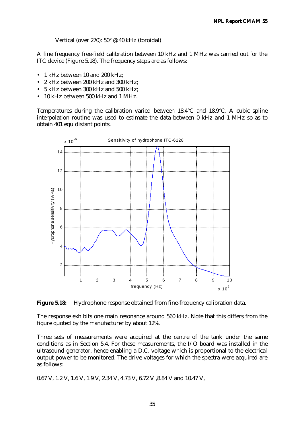Vertical (over 270): 50° @ 40 kHz (toroidal)

A fine frequency free-field calibration between 10 kHz and 1 MHz was carried out for the ITC device (Figure 5.18). The frequency steps are as follows:

- 1 kHz between 10 and 200 kHz;
- 2 kHz between 200 kHz and 300 kHz;
- 5 kHz between 300 kHz and 500 kHz;
- 10 kHz between 500 kHz and 1 MHz.

Temperatures during the calibration varied between 18.4°C and 18.9°C. A cubic spline interpolation routine was used to estimate the data between 0 kHz and 1 MHz so as to obtain 401 equidistant points.



**Figure 5.18:** Hydrophone response obtained from fine-frequency calibration data.

The response exhibits one main resonance around 560 kHz. Note that this differs from the figure quoted by the manufacturer by about 12%.

Three sets of measurements were acquired at the centre of the tank under the same conditions as in Section 5.4. For these measurements, the I/O board was installed in the ultrasound generator, hence enabling a D.C. voltage which is proportional to the electrical output power to be monitored. The drive voltages for which the spectra were acquired are as follows:

0.67 V, 1.2 V, 1.6 V, 1.9 V, 2.34 V, 4.73 V, 6.72 V ,8.84 V and 10.47 V,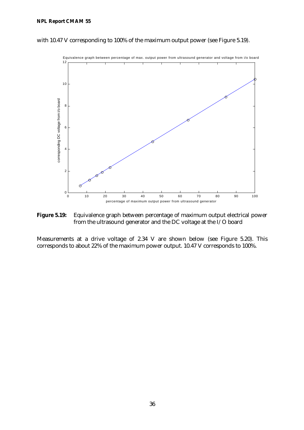#### **NPL Report CMAM 55**



with 10.47 V corresponding to 100% of the maximum output power (see Figure 5.19).

**Figure 5.19:** Equivalence graph between percentage of maximum output electrical power from the ultrasound generator and the DC voltage at the I/O board

Measurements at a drive voltage of 2.34 V are shown below (see Figure 5.20). This corresponds to about 22% of the maximum power output. 10.47 V corresponds to 100%.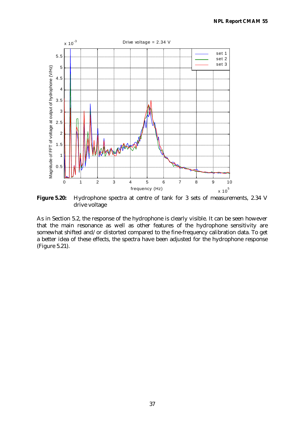

Figure 5.20: Hydrophone spectra at centre of tank for 3 sets of measurements, 2.34 V drive voltage

As in Section 5.2, the response of the hydrophone is clearly visible. It can be seen however that the main resonance as well as other features of the hydrophone sensitivity are somewhat shifted and/or distorted compared to the fine-frequency calibration data. To get a better idea of these effects, the spectra have been adjusted for the hydrophone response (Figure 5.21).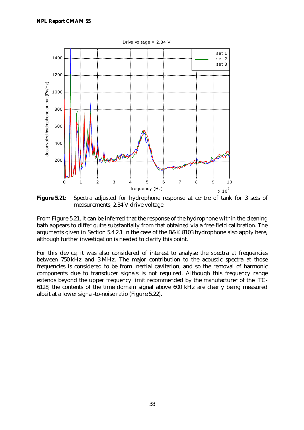

**Figure 5.21:** Spectra adjusted for hydrophone response at centre of tank for 3 sets of measurements, 2.34 V drive voltage

From Figure 5.21, it can be inferred that the response of the hydrophone within the cleaning bath appears to differ quite substantially from that obtained via a free-field calibration. The arguments given in Section 5.4.2.1 in the case of the B&K 8103 hydrophone also apply here, although further investigation is needed to clarify this point.

For this device, it was also considered of interest to analyse the spectra at frequencies between 750 kHz and 3 MHz. The major contribution to the acoustic spectra at those frequencies is considered to be from inertial cavitation, and so the removal of harmonic components due to transducer signals is not required. Although this frequency range extends beyond the upper frequency limit recommended by the manufacturer of the ITC-6128, the contents of the time domain signal above 600 kHz are clearly being measured albeit at a lower signal-to-noise ratio (Figure 5.22).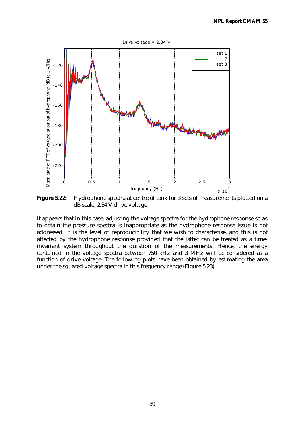

**Figure 5.22:** Hydrophone spectra at centre of tank for 3 sets of measurements plotted on a dB scale, 2.34 V drive voltage

It appears that in this case, adjusting the voltage spectra for the hydrophone response so as to obtain the pressure spectra is inappropriate as the hydrophone response issue is not addressed. It is the level of reproducibility that we wish to characterise, and this is not affected by the hydrophone response provided that the latter can be treated as a timeinvariant system throughout the duration of the measurements. Hence, the energy contained in the voltage spectra between 750 kHz and 3 MHz will be considered as a function of drive voltage. The following plots have been obtained by estimating the area under the squared voltage spectra in this frequency range (Figure 5.23).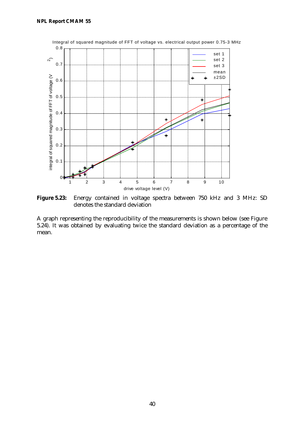

Figure 5.23: Energy contained in voltage spectra between 750 kHz and 3 MHz: SD denotes the standard deviation

A graph representing the reproducibility of the measurements is shown below (see Figure 5.24). It was obtained by evaluating twice the standard deviation as a percentage of the mean.

40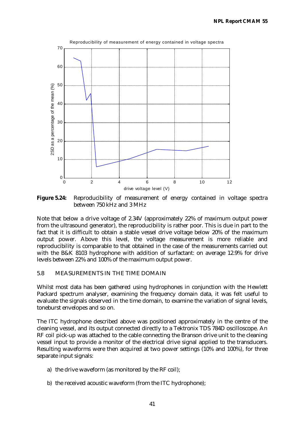

**Figure 5.24:** Reproducibility of measurement of energy contained in voltage spectra between 750 kHz and 3 MHz

Note that below a drive voltage of 2.34V (approximately 22% of maximum output power from the ultrasound generator), the reproducibility is rather poor. This is due in part to the fact that it is difficult to obtain a stable vessel drive voltage below 20% of the maximum output power. Above this level, the voltage measurement is more reliable and reproducibility is comparable to that obtained in the case of the measurements carried out with the B&K 8103 hydrophone with addition of surfactant: on average 12.9% for drive levels between 22% and 100% of the maximum output power.

### 5.8 MEASUREMENTS IN THE TIME DOMAIN

Whilst most data has been gathered using hydrophones in conjunction with the Hewlett Packard spectrum analyser, examining the frequency domain data, it was felt useful to evaluate the signals observed in the time domain, to examine the variation of signal levels, toneburst envelopes and so on.

The ITC hydrophone described above was positioned approximately in the centre of the cleaning vessel, and its output connected directly to a Tektronix TDS 784D oscilloscope. An RF coil pick-up was attached to the cable connecting the Branson drive unit to the cleaning vessel input to provide a monitor of the electrical drive signal applied to the transducers. Resulting waveforms were then acquired at two power settings (10% and 100%), for three separate input signals:

- a) the drive waveform (as monitored by the RF coil);
- b) the received acoustic waveform (from the ITC hydrophone);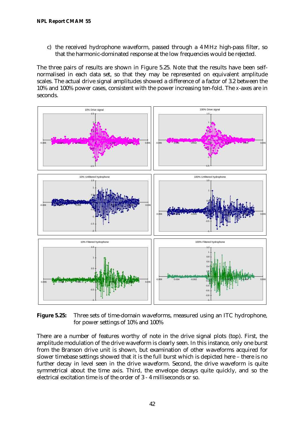c) the received hydrophone waveform, passed through a 4 MHz high-pass filter, so that the harmonic-dominated response at the low frequencies would be rejected.

The three pairs of results are shown in Figure 5.25. Note that the results have been selfnormalised in each data set, so that they may be represented on equivalent amplitude scales. The actual drive signal amplitudes showed a difference of a factor of 3.2 between the 10% and 100% power cases, consistent with the power increasing ten-fold. The *x*-axes are in seconds.



**Figure 5.25:** Three sets of time-domain waveforms, measured using an ITC hydrophone, for power settings of 10% and 100%

There are a number of features worthy of note in the drive signal plots (top). First, the amplitude modulation of the drive waveform is clearly seen. In this instance, only one burst from the Branson drive unit is shown, but examination of other waveforms acquired for slower timebase settings showed that it is the full burst which is depicted here – there is no further decay in level seen in the drive waveform. Second, the drive waveform is quite symmetrical about the time axis. Third, the envelope decays quite quickly, and so the electrical excitation time is of the order of 3 - 4 milliseconds or so.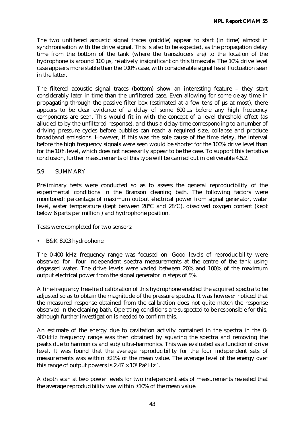The two unfiltered acoustic signal traces (middle) appear to start (in time) almost in synchronisation with the drive signal. This is also to be expected, as the propagation delay time from the bottom of the tank (where the transducers are) to the location of the hydrophone is around 100 μs, relatively insignificant on this timescale. The 10% drive level case appears more stable than the 100% case, with considerable signal level fluctuation seen in the latter.

The filtered acoustic signal traces (bottom) show an interesting feature – they start considerably later in time than the unfiltered case. Even allowing for some delay time in propagating through the passive filter box (estimated at a few tens of μs at most), there appears to be clear evidence of a delay of some 600 μs before any high frequency components are seen. This would fit in with the concept of a level threshold effect (as alluded to by the unfiltered response), and thus a delay-time corresponding to a number of driving pressure cycles before bubbles can reach a required size, collapse and produce broadband emissions. However, if this was the sole cause of the time delay, the interval before the high frequency signals were seen would be shorter for the 100% drive level than for the 10% level, which does not necessarily appear to be the case. To support this tentative conclusion, further measurements of this type will be carried out in deliverable 4.5.2.

#### 5.9 SUMMARY

Preliminary tests were conducted so as to assess the general reproducibility of the experimental conditions in the Branson cleaning bath. The following factors were monitored: percentage of maximum output electrical power from signal generator, water level, water temperature (kept between 20°C and 28°C), dissolved oxygen content (kept below 6 parts per million ) and hydrophone position.

Tests were completed for two sensors:

• B&K 8103 hydrophone

The 0-400 kHz frequency range was focused on. Good levels of reproducibility were observed for four independent spectra measurements at the centre of the tank using degassed water. The drive levels were varied between 20% and 100% of the maximum output electrical power from the signal generator in steps of 5%.

A fine-frequency free-field calibration of this hydrophone enabled the acquired spectra to be adjusted so as to obtain the magnitude of the pressure spectra. It was however noticed that the measured response obtained from the calibration does not quite match the response observed in the cleaning bath. Operating conditions are suspected to be responsible for this, although further investigation is needed to confirm this.

An estimate of the energy due to cavitation activity contained in the spectra in the 0- 400 kHz frequency range was then obtained by squaring the spectra and removing the peaks due to harmonics and sub/ultra-harmonics. This was evaluated as a function of drive level. It was found that the average reproducibility for the four independent sets of measurements was within ±21% of the mean value. The average level of the energy over this range of output powers is  $2.47 \times 10^7$  Pa<sup>2</sup> Hz<sup>-1</sup>.

A depth scan at two power levels for two independent sets of measurements revealed that the average reproducibility was within ±10% of the mean value.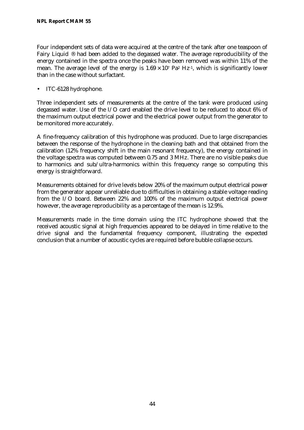Four independent sets of data were acquired at the centre of the tank after one teaspoon of Fairy Liquid ® had been added to the degassed water. The average reproducibility of the energy contained in the spectra once the peaks have been removed was within 11% of the mean. The average level of the energy is  $1.69 \times 10^7$  Pa<sup>2</sup> Hz<sup>-1</sup>, which is significantly lower than in the case without surfactant.

• ITC-6128 hydrophone.

Three independent sets of measurements at the centre of the tank were produced using degassed water. Use of the I/O card enabled the drive level to be reduced to about 6% of the maximum output electrical power and the electrical power output from the generator to be monitored more accurately.

A fine-frequency calibration of this hydrophone was produced. Due to large discrepancies between the response of the hydrophone in the cleaning bath and that obtained from the calibration (12% frequency shift in the main resonant frequency), the energy contained in the voltage spectra was computed between 0.75 and 3 MHz. There are no visible peaks due to harmonics and sub/ultra-harmonics within this frequency range so computing this energy is straightforward.

Measurements obtained for drive levels below 20% of the maximum output electrical power from the generator appear unreliable due to difficulties in obtaining a stable voltage reading from the I/O board. Between 22% and 100% of the maximum output electrical power however, the average reproducibility as a percentage of the mean is 12.9%.

Measurements made in the time domain using the ITC hydrophone showed that the received acoustic signal at high frequencies appeared to be delayed in time relative to the drive signal and the fundamental frequency component, illustrating the expected conclusion that a number of acoustic cycles are required before bubble collapse occurs.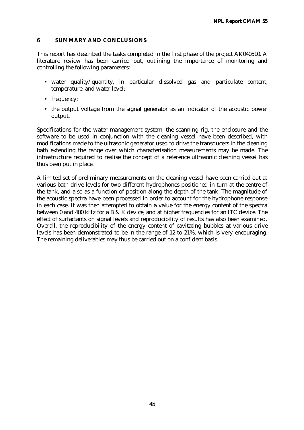### **6 SUMMARY AND CONCLUSIONS**

This report has described the tasks completed in the first phase of the project AK040510. A literature review has been carried out, outlining the importance of monitoring and controlling the following parameters:

- water quality/quantity, in particular dissolved gas and particulate content, temperature, and water level;
- frequency;
- the output voltage from the signal generator as an indicator of the acoustic power output.

Specifications for the water management system, the scanning rig, the enclosure and the software to be used in conjunction with the cleaning vessel have been described, with modifications made to the ultrasonic generator used to drive the transducers in the cleaning bath extending the range over which characterisation measurements may be made. The infrastructure required to realise the concept of a reference ultrasonic cleaning vessel has thus been put in place.

A limited set of preliminary measurements on the cleaning vessel have been carried out at various bath drive levels for two different hydrophones positioned in turn at the centre of the tank, and also as a function of position along the depth of the tank. The magnitude of the acoustic spectra have been processed in order to account for the hydrophone response in each case. It was then attempted to obtain a value for the energy content of the spectra between 0 and 400 kHz for a B & K device, and at higher frequencies for an ITC device. The effect of surfactants on signal levels and reproducibility of results has also been examined. Overall, the reproducibility of the energy content of cavitating bubbles at various drive levels has been demonstrated to be in the range of 12 to 21%, which is very encouraging. The remaining deliverables may thus be carried out on a confident basis.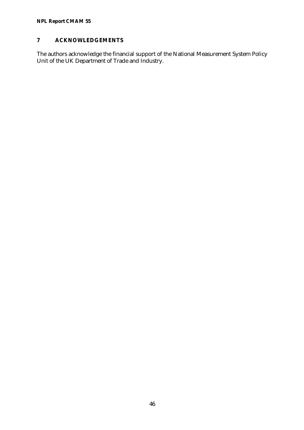# **NPL Report CMAM 55**

# **7 ACKNOWLEDGEMENTS**

The authors acknowledge the financial support of the National Measurement System Policy Unit of the UK Department of Trade and Industry.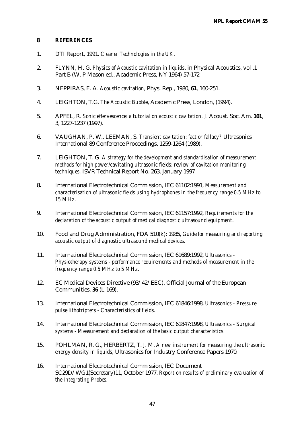#### **8 REFERENCES**

- 1. DTI Report, 1991. *Cleaner Technologies in the UK*.
- 2. FLYNN, H. G. *Physics of Acoustic cavitation in liquids*, in Physical Acoustics, vol .1 Part B (W. P Mason ed., Academic Press, NY 1964) 57-172
- 3. NEPPIRAS, E. A. *Acoustic cavitation*, Phys. Rep., 1980, **61**, 160-251.
- 4. LEIGHTON, T.G. *The Acoustic Bubble*, Academic Press, London, (1994).
- 5. APFEL, R. *Sonic effervescence: a tutorial on acoustic cavitation.* J. Acoust. Soc. Am. **101**, 3, 1227-1237 (1997).
- 6. VAUGHAN, P. W., LEEMAN, S. *Transient cavitation: fact or fallacy?* Ultrasonics International 89 Conference Proceedings, 1259-1264 (1989).
- 7. LEIGHTON, T. G. *A strategy for the development and standardisation of measurement methods for high power/cavitating ultrasonic fields: review of cavitation monitoring techniques,* ISVR Technical Report No. 263, January 1997
- 8**.** International Electrotechnical Commission, IEC 61102:1991, *Measurement and characterisation of ultrasonic fields using hydrophones in the frequency range 0.5 MHz to 15 MHz.*
- 9. International Electrotechnical Commission, IEC 61157:1992, *Requirements for the declaration of the acoustic output of medical diagnostic ultrasound equipment*.
- 10. Food and Drug Administration, FDA 510(k): 1985, *Guide for measuring and reporting acoustic output of diagnostic ultrasound medical devices.*
- 11. International Electrotechnical Commission, IEC 61689:1992, *Ultrasonics - Physiotherapy systems - performance requirements and methods of measurement in the frequency range 0.5 MHz to 5 MHz.*
- 12. EC Medical Devices Directive (93/42/EEC), Official Journal of the European Communities, **36** (L 169).
- 13. International Electrotechnical Commission, IEC 61846:1998, *Ultrasonics Pressure pulse lithotripters - Characteristics of fields.*
- 14. International Electrotechnical Commission, IEC 61847:1998, *Ultrasonics Surgical systems - Measurement and declaration of the basic output characteristics.*
- 15. POHLMAN, R. G., HERBERTZ, T. J. M. *A new instrument for measuring the ultrasonic energy density in liquids,* Ultrasonics for Industry Conference Papers 1970*.*
- 16. International Electrotechnical Commission, IEC Document SC29D/WG1(Secretary)11, October 1977. *Report on results of preliminary evaluation of the Integrating Probes.*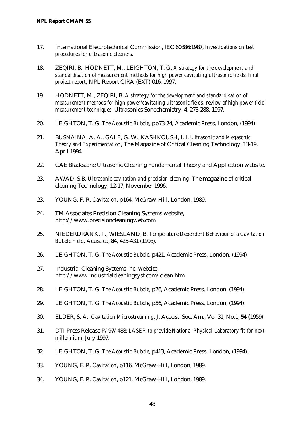- 17. International Electrotechnical Commission, IEC 60886:1987, *Investigations on test procedures for ultrasonic cleaners.*
- 18. ZEQIRI, B., HODNETT, M., LEIGHTON, T. G. *A strategy for the development and standardisation of measurement methods for high power cavitating ultrasonic fields: final project report,* NPL Report CIRA (EXT) 016, 1997.
- 19. HODNETT, M., ZEQIRI, B. *A strategy for the development and standardisation of measurement methods for high power/cavitating ultrasonic fields: review of high power field measurement techniques,* Ultrasonics Sonochemistry, **4**, 273-288, 1997.
- 20. LEIGHTON, T. G. *The Acoustic Bubble*, pp73-74, Academic Press, London, (1994).
- 21. BUSNAINA, A. A., GALE, G. W., KASHKOUSH, I. I. *Ultrasonic and Megasonic Theory and Experimentation*, The Magazine of Critical Cleaning Technology, 13-19, April 1994.
- 22. CAE Blackstone Ultrasonic Cleaning Fundamental Theory and Application website.
- 23. AWAD, S.B. *Ultrasonic cavitation and precision cleaning*, The magazine of critical cleaning Technology, 12-17, November 1996.
- 23. YOUNG, F. R. *Cavitation*, p164, McGraw-Hill, London, 1989.
- 24. TM Associates Precision Cleaning Systems website, http://www.precisioncleaningweb.com
- 25. NIEDERDRÄNK, T., WIESLAND, B. *Temperature Dependent Behaviour of a Cavitation Bubble Field,* Acustica, **84**, 425-431 (1998).
- 26. LEIGHTON, T. G. *The Acoustic Bubble*, p421, Academic Press, London, (1994)
- 27. Industrial Cleaning Systems Inc. website, http://www.industrialcleaningsyst.com/clean.htm
- 28. LEIGHTON, T. G. *The Acoustic Bubble*, p76, Academic Press, London, (1994).
- 29. LEIGHTON, T. G. *The Acoustic Bubble*, p56, Academic Press, London, (1994).
- 30. ELDER, S. A*., Cavitation Microstreaming,* J. Acoust. Soc. Am., Vol 31, No.1, **54** (1959).
- 31. DTI Press Release P/97/488: *LASER to provide National Physical Laboratory fit for next millennium,* July 1997.
- 32. LEIGHTON, T. G. *The Acoustic Bubble*, p413, Academic Press, London, (1994).
- 33. YOUNG, F. R. *Cavitation*, p116, McGraw-Hill, London, 1989.
- 34. YOUNG, F. R. *Cavitation*, p121, McGraw-Hill, London, 1989.